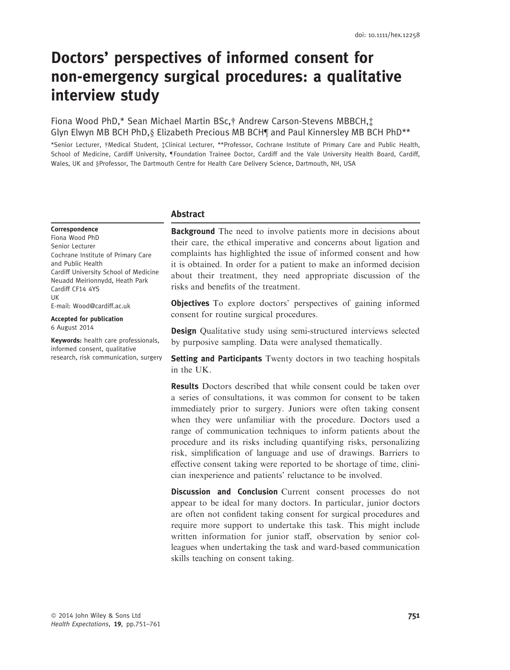# Doctors' perspectives of informed consent for non-emergency surgical procedures: a qualitative interview study

# Fiona Wood PhD,\* Sean Michael Martin BSc,† Andrew Carson-Stevens MBBCH,‡ Glyn Elwyn MB BCH PhD,§ Elizabeth Precious MB BCH¶ and Paul Kinnersley MB BCH PhD\*\*

\*Senior Lecturer, †Medical Student, ‡Clinical Lecturer, \*\*Professor, Cochrane Institute of Primary Care and Public Health, School of Medicine, Cardiff University, ¶Foundation Trainee Doctor, Cardiff and the Vale University Health Board, Cardiff, Wales, UK and §Professor, The Dartmouth Centre for Health Care Delivery Science, Dartmouth, NH, USA

# Abstract

Correspondence Fiona Wood PhD Senior Lecturer Cochrane Institute of Primary Care and Public Health Cardiff University School of Medicine Neuadd Meirionnydd, Heath Park Cardiff CF14 4YS UK E-mail: Wood@cardiff.ac.uk

Accepted for publication 6 August 2014

Keywords: health care professionals, informed consent, qualitative research, risk communication, surgery **Background** The need to involve patients more in decisions about their care, the ethical imperative and concerns about ligation and complaints has highlighted the issue of informed consent and how it is obtained. In order for a patient to make an informed decision about their treatment, they need appropriate discussion of the risks and benefits of the treatment.

**Objectives** To explore doctors' perspectives of gaining informed consent for routine surgical procedures.

Design Qualitative study using semi-structured interviews selected by purposive sampling. Data were analysed thematically.

**Setting and Participants** Twenty doctors in two teaching hospitals in the UK.

Results Doctors described that while consent could be taken over a series of consultations, it was common for consent to be taken immediately prior to surgery. Juniors were often taking consent when they were unfamiliar with the procedure. Doctors used a range of communication techniques to inform patients about the procedure and its risks including quantifying risks, personalizing risk, simplification of language and use of drawings. Barriers to effective consent taking were reported to be shortage of time, clinician inexperience and patients' reluctance to be involved.

Discussion and Conclusion Current consent processes do not appear to be ideal for many doctors. In particular, junior doctors are often not confident taking consent for surgical procedures and require more support to undertake this task. This might include written information for junior staff, observation by senior colleagues when undertaking the task and ward-based communication skills teaching on consent taking.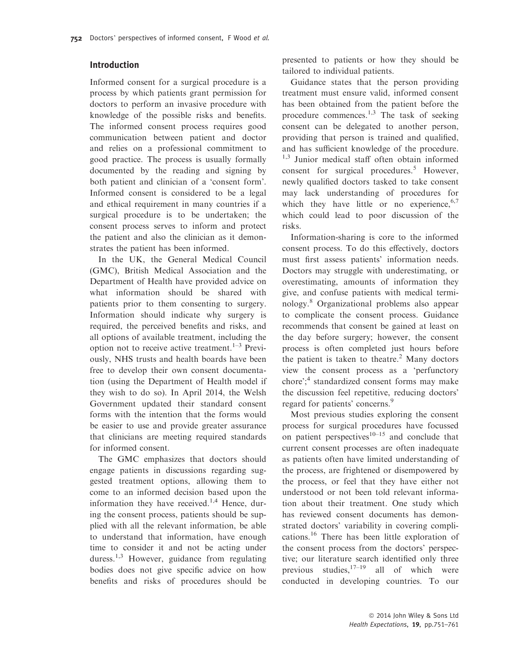# Introduction

Informed consent for a surgical procedure is a process by which patients grant permission for doctors to perform an invasive procedure with knowledge of the possible risks and benefits. The informed consent process requires good communication between patient and doctor and relies on a professional commitment to good practice. The process is usually formally documented by the reading and signing by both patient and clinician of a 'consent form'. Informed consent is considered to be a legal and ethical requirement in many countries if a surgical procedure is to be undertaken; the consent process serves to inform and protect the patient and also the clinician as it demonstrates the patient has been informed.

In the UK, the General Medical Council (GMC), British Medical Association and the Department of Health have provided advice on what information should be shared with patients prior to them consenting to surgery. Information should indicate why surgery is required, the perceived benefits and risks, and all options of available treatment, including the option not to receive active treatment.<sup>1–3</sup> Previously, NHS trusts and health boards have been free to develop their own consent documentation (using the Department of Health model if they wish to do so). In April 2014, the Welsh Government updated their standard consent forms with the intention that the forms would be easier to use and provide greater assurance that clinicians are meeting required standards for informed consent.

The GMC emphasizes that doctors should engage patients in discussions regarding suggested treatment options, allowing them to come to an informed decision based upon the information they have received.<sup>1,4</sup> Hence, during the consent process, patients should be supplied with all the relevant information, be able to understand that information, have enough time to consider it and not be acting under duress.<sup>1,3</sup> However, guidance from regulating bodies does not give specific advice on how benefits and risks of procedures should be presented to patients or how they should be tailored to individual patients.

Guidance states that the person providing treatment must ensure valid, informed consent has been obtained from the patient before the procedure commences.<sup>1,3</sup> The task of seeking consent can be delegated to another person, providing that person is trained and qualified, and has sufficient knowledge of the procedure. 1,3 Junior medical staff often obtain informed consent for surgical procedures. $5$  However, newly qualified doctors tasked to take consent may lack understanding of procedures for which they have little or no experience,  $6.7$ which could lead to poor discussion of the risks.

Information-sharing is core to the informed consent process. To do this effectively, doctors must first assess patients' information needs. Doctors may struggle with underestimating, or overestimating, amounts of information they give, and confuse patients with medical terminology.<sup>8</sup> Organizational problems also appear to complicate the consent process. Guidance recommends that consent be gained at least on the day before surgery; however, the consent process is often completed just hours before the patient is taken to theatre.<sup>2</sup> Many doctors view the consent process as a 'perfunctory chore';<sup>4</sup> standardized consent forms may make the discussion feel repetitive, reducing doctors' regard for patients' concerns.<sup>9</sup>

Most previous studies exploring the consent process for surgical procedures have focussed on patient perspectives $10-15$  and conclude that current consent processes are often inadequate as patients often have limited understanding of the process, are frightened or disempowered by the process, or feel that they have either not understood or not been told relevant information about their treatment. One study which has reviewed consent documents has demonstrated doctors' variability in covering complications.<sup>16</sup> There has been little exploration of the consent process from the doctors' perspective; our literature search identified only three previous studies, $17-19$  all of which were conducted in developing countries. To our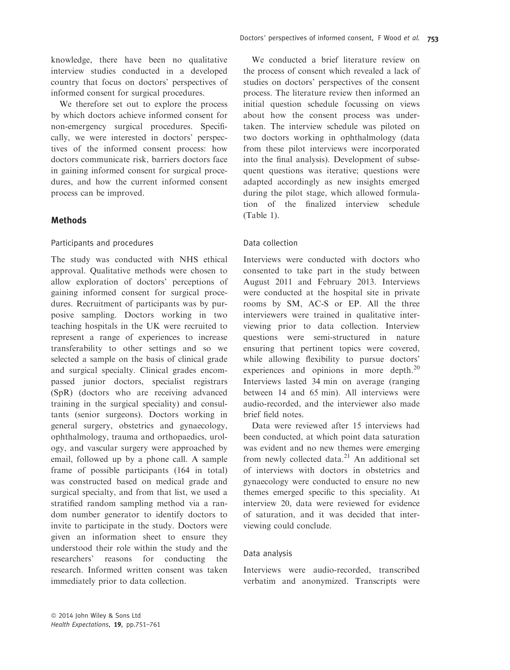knowledge, there have been no qualitative interview studies conducted in a developed country that focus on doctors' perspectives of informed consent for surgical procedures.

We therefore set out to explore the process by which doctors achieve informed consent for non-emergency surgical procedures. Specifically, we were interested in doctors' perspectives of the informed consent process: how doctors communicate risk, barriers doctors face in gaining informed consent for surgical procedures, and how the current informed consent process can be improved.

# Methods

# Participants and procedures

The study was conducted with NHS ethical approval. Qualitative methods were chosen to allow exploration of doctors' perceptions of gaining informed consent for surgical procedures. Recruitment of participants was by purposive sampling. Doctors working in two teaching hospitals in the UK were recruited to represent a range of experiences to increase transferability to other settings and so we selected a sample on the basis of clinical grade and surgical specialty. Clinical grades encompassed junior doctors, specialist registrars (SpR) (doctors who are receiving advanced training in the surgical speciality) and consultants (senior surgeons). Doctors working in general surgery, obstetrics and gynaecology, ophthalmology, trauma and orthopaedics, urology, and vascular surgery were approached by email, followed up by a phone call. A sample frame of possible participants (164 in total) was constructed based on medical grade and surgical specialty, and from that list, we used a stratified random sampling method via a random number generator to identify doctors to invite to participate in the study. Doctors were given an information sheet to ensure they understood their role within the study and the researchers' reasons for conducting the research. Informed written consent was taken immediately prior to data collection.

We conducted a brief literature review on the process of consent which revealed a lack of studies on doctors' perspectives of the consent process. The literature review then informed an initial question schedule focussing on views about how the consent process was undertaken. The interview schedule was piloted on two doctors working in ophthalmology (data from these pilot interviews were incorporated into the final analysis). Development of subsequent questions was iterative; questions were adapted accordingly as new insights emerged during the pilot stage, which allowed formulation of the finalized interview schedule (Table 1).

# Data collection

Interviews were conducted with doctors who consented to take part in the study between August 2011 and February 2013. Interviews were conducted at the hospital site in private rooms by SM, AC-S or EP. All the three interviewers were trained in qualitative interviewing prior to data collection. Interview questions were semi-structured in nature ensuring that pertinent topics were covered, while allowing flexibility to pursue doctors' experiences and opinions in more depth.<sup>20</sup> Interviews lasted 34 min on average (ranging between 14 and 65 min). All interviews were audio-recorded, and the interviewer also made brief field notes.

Data were reviewed after 15 interviews had been conducted, at which point data saturation was evident and no new themes were emerging from newly collected data. $^{21}$  An additional set of interviews with doctors in obstetrics and gynaecology were conducted to ensure no new themes emerged specific to this speciality. At interview 20, data were reviewed for evidence of saturation, and it was decided that interviewing could conclude.

# Data analysis

Interviews were audio-recorded, transcribed verbatim and anonymized. Transcripts were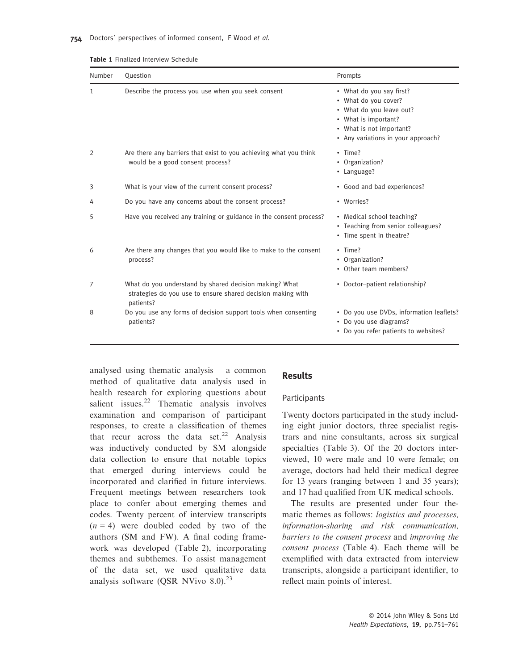| Number | Question                                                                                                                           | Prompts                                                                                                                                                                |
|--------|------------------------------------------------------------------------------------------------------------------------------------|------------------------------------------------------------------------------------------------------------------------------------------------------------------------|
| 1      | Describe the process you use when you seek consent                                                                                 | • What do you say first?<br>• What do you cover?<br>• What do you leave out?<br>• What is important?<br>• What is not important?<br>• Any variations in your approach? |
| 2      | Are there any barriers that exist to you achieving what you think<br>would be a good consent process?                              | $\cdot$ Time?<br>• Organization?<br>• Language?                                                                                                                        |
| 3      | What is your view of the current consent process?                                                                                  | • Good and bad experiences?                                                                                                                                            |
| 4      | Do you have any concerns about the consent process?                                                                                | • Worries?                                                                                                                                                             |
| 5      | Have you received any training or guidance in the consent process?                                                                 | • Medical school teaching?<br>• Teaching from senior colleagues?<br>• Time spent in theatre?                                                                           |
| 6      | Are there any changes that you would like to make to the consent<br>process?                                                       | $\cdot$ Time?<br>• Organization?<br>• Other team members?                                                                                                              |
| 7      | What do you understand by shared decision making? What<br>strategies do you use to ensure shared decision making with<br>patients? | • Doctor-patient relationship?                                                                                                                                         |
| 8      | Do you use any forms of decision support tools when consenting<br>patients?                                                        | • Do you use DVDs, information leaflets?<br>• Do you use diagrams?<br>• Do you refer patients to websites?                                                             |

Table 1 Finalized Interview Schedule

analysed using thematic analysis – a common method of qualitative data analysis used in health research for exploring questions about salient issues. $22$  Thematic analysis involves examination and comparison of participant responses, to create a classification of themes that recur across the data set. $22$  Analysis was inductively conducted by SM alongside data collection to ensure that notable topics that emerged during interviews could be incorporated and clarified in future interviews. Frequent meetings between researchers took place to confer about emerging themes and codes. Twenty percent of interview transcripts  $(n = 4)$  were doubled coded by two of the authors (SM and FW). A final coding framework was developed (Table 2), incorporating themes and subthemes. To assist management of the data set, we used qualitative data analysis software (QSR NVivo  $8.0$ ).<sup>23</sup>

# Results

# Participants

Twenty doctors participated in the study including eight junior doctors, three specialist registrars and nine consultants, across six surgical specialties (Table 3). Of the 20 doctors interviewed, 10 were male and 10 were female; on average, doctors had held their medical degree for 13 years (ranging between 1 and 35 years); and 17 had qualified from UK medical schools.

The results are presented under four thematic themes as follows: logistics and processes, information-sharing and risk communication, barriers to the consent process and improving the consent process (Table 4). Each theme will be exemplified with data extracted from interview transcripts, alongside a participant identifier, to reflect main points of interest.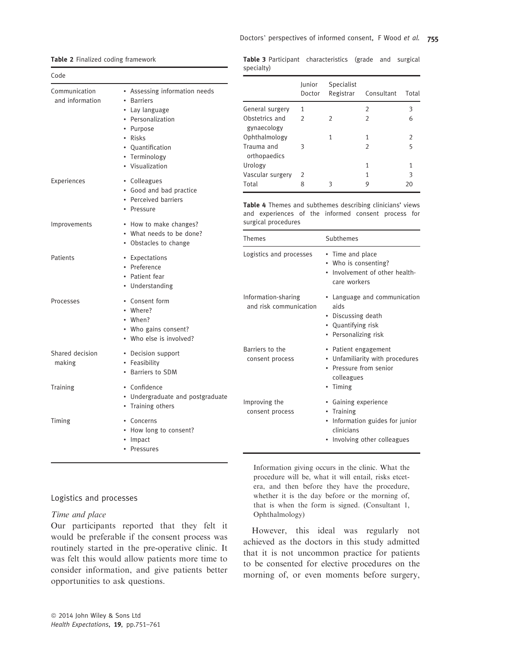#### Table 2 Finalized coding framework

| Code                      |                                                                                                                                  |                                                                                                                   |                          |                                                                        |
|---------------------------|----------------------------------------------------------------------------------------------------------------------------------|-------------------------------------------------------------------------------------------------------------------|--------------------------|------------------------------------------------------------------------|
| Communication             | • Assessing information needs                                                                                                    |                                                                                                                   | Junior<br>Doctor         | Specialist<br>Registrar                                                |
| and information           | <b>Barriers</b><br>Lay language<br>• Personalization<br>Purpose<br>• Risks<br>Quantification<br>• Terminology<br>• Visualization | General surgery<br>Obstetrics and<br>gynaecology<br>Ophthalmology<br>Trauma and<br>orthopaedics<br>Urology        | 1<br>$\overline{2}$<br>3 | 2<br>$\mathbf{1}$                                                      |
| Experiences               | • Colleagues<br>• Good and bad practice<br>• Perceived barriers<br>Pressure                                                      | Vascular surgery<br>Total<br><b>Table 4</b> Themes and subthemes describir<br>and experiences of the informed cor | 2<br>8                   | 3                                                                      |
| Improvements              | • How to make changes?<br>• What needs to be done?<br>• Obstacles to change                                                      | surgical procedures<br><b>Themes</b>                                                                              |                          | Subthemes                                                              |
| Patients                  | • Expectations<br>• Preference<br>Patient fear<br>• Understanding                                                                | Logistics and processes                                                                                           |                          | • Time and p<br>• Who is con<br>Involvemen<br>care worke               |
| Processes                 | • Consent form<br>• Where?<br>• When?<br>• Who gains consent?<br>• Who else is involved?                                         | Information-sharing<br>and risk communication                                                                     |                          | • Language a<br>aids<br>• Discussing<br>• Quantifying<br>• Personalizi |
| Shared decision<br>making | • Decision support<br>• Feasibility<br>• Barriers to SDM                                                                         | Barriers to the<br>consent process                                                                                |                          | • Patient eng<br>• Unfamiliarit<br>• Pressure fre<br>colleagues        |
| Training                  | • Confidence<br>• Undergraduate and postgraduate<br>• Training others                                                            | Improving the<br>consent process                                                                                  |                          | • Timing<br>• Gaining exp<br>• Training                                |
| Timing                    | • Concerns<br>• How long to consent?<br>Impact<br>• Pressures                                                                    |                                                                                                                   |                          | Information<br>clinicians<br>· Involving of                            |

# Logistics and processes

# Time and place

Our participants reported that they felt it would be preferable if the consent process was routinely started in the pre-operative clinic. It was felt this would allow patients more time to consider information, and give patients better opportunities to ask questions.

Table 3 Participant characteristics (grade and surgical specialty)

|                               | Junior<br>Doctor | Specialist<br>Registrar | Consultant | Total |
|-------------------------------|------------------|-------------------------|------------|-------|
| General surgery               | 1                |                         | 2          | 3     |
| Obstetrics and<br>gynaecology | C                | 2                       | 2          | 6     |
| Ophthalmology                 |                  | 1                       | 1          | 2     |
| Trauma and<br>orthopaedics    | 3                |                         | 2          | 5     |
| Urology                       |                  |                         | 1          |       |
| Vascular surgery              | 2                |                         | 1          | 3     |
| Total                         | 8                | 3                       | g          | 20    |

ng clinicians' views nsent process for

| Logistics and processes                       | • Time and place<br>• Who is consenting?<br>• Involvement of other health-<br>care workers                          |
|-----------------------------------------------|---------------------------------------------------------------------------------------------------------------------|
| Information-sharing<br>and risk communication | • Language and communication<br>aids<br>• Discussing death<br>• Quantifying risk<br>• Personalizing risk            |
| Barriers to the<br>consent process            | • Patient engagement<br>• Unfamiliarity with procedures<br>• Pressure from senior<br>colleagues<br>• Timing         |
| Improving the<br>consent process              | • Gaining experience<br>• Training<br>• Information guides for junior<br>clinicians<br>• Involving other colleagues |

era, and then before they have the procedure, whether it is the day before or the morning of, that is when the form is signed. (Consultant 1, Ophthalmology) However, this ideal was regularly not

achieved as the doctors in this study admitted that it is not uncommon practice for patients to be consented for elective procedures on the morning of, or even moments before surgery,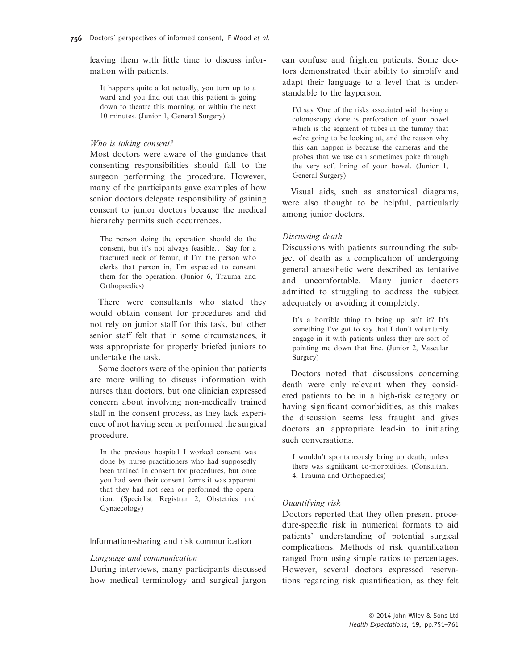leaving them with little time to discuss information with patients.

It happens quite a lot actually, you turn up to a ward and you find out that this patient is going down to theatre this morning, or within the next 10 minutes. (Junior 1, General Surgery)

#### Who is taking consent?

Most doctors were aware of the guidance that consenting responsibilities should fall to the surgeon performing the procedure. However, many of the participants gave examples of how senior doctors delegate responsibility of gaining consent to junior doctors because the medical hierarchy permits such occurrences.

The person doing the operation should do the consent, but it's not always feasible... Say for a fractured neck of femur, if I'm the person who clerks that person in, I'm expected to consent them for the operation. (Junior 6, Trauma and Orthopaedics)

There were consultants who stated they would obtain consent for procedures and did not rely on junior staff for this task, but other senior staff felt that in some circumstances, it was appropriate for properly briefed juniors to undertake the task.

Some doctors were of the opinion that patients are more willing to discuss information with nurses than doctors, but one clinician expressed concern about involving non-medically trained staff in the consent process, as they lack experience of not having seen or performed the surgical procedure.

In the previous hospital I worked consent was done by nurse practitioners who had supposedly been trained in consent for procedures, but once you had seen their consent forms it was apparent that they had not seen or performed the operation. (Specialist Registrar 2, Obstetrics and Gynaecology)

# Information-sharing and risk communication

#### Language and communication

During interviews, many participants discussed how medical terminology and surgical jargon can confuse and frighten patients. Some doctors demonstrated their ability to simplify and adapt their language to a level that is understandable to the layperson.

I'd say 'One of the risks associated with having a colonoscopy done is perforation of your bowel which is the segment of tubes in the tummy that we're going to be looking at, and the reason why this can happen is because the cameras and the probes that we use can sometimes poke through the very soft lining of your bowel. (Junior 1, General Surgery)

Visual aids, such as anatomical diagrams, were also thought to be helpful, particularly among junior doctors.

#### Discussing death

Discussions with patients surrounding the subject of death as a complication of undergoing general anaesthetic were described as tentative and uncomfortable. Many junior doctors admitted to struggling to address the subject adequately or avoiding it completely.

It's a horrible thing to bring up isn't it? It's something I've got to say that I don't voluntarily engage in it with patients unless they are sort of pointing me down that line. (Junior 2, Vascular Surgery)

Doctors noted that discussions concerning death were only relevant when they considered patients to be in a high-risk category or having significant comorbidities, as this makes the discussion seems less fraught and gives doctors an appropriate lead-in to initiating such conversations.

I wouldn't spontaneously bring up death, unless there was significant co-morbidities. (Consultant 4, Trauma and Orthopaedics)

#### Quantifying risk

Doctors reported that they often present procedure-specific risk in numerical formats to aid patients' understanding of potential surgical complications. Methods of risk quantification ranged from using simple ratios to percentages. However, several doctors expressed reservations regarding risk quantification, as they felt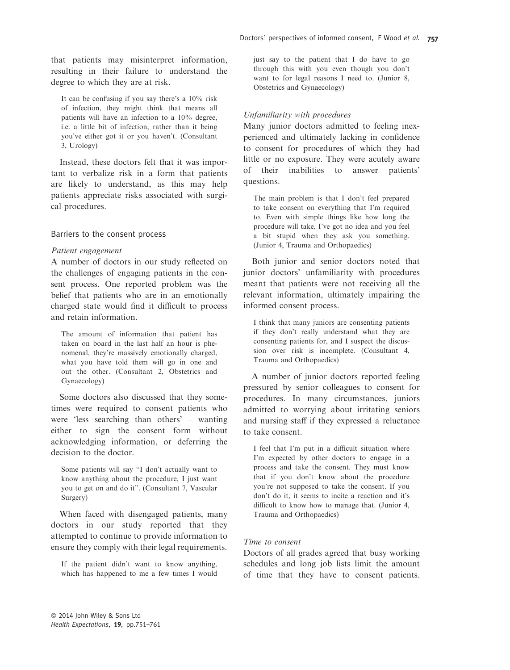that patients may misinterpret information, resulting in their failure to understand the degree to which they are at risk.

It can be confusing if you say there's a 10% risk of infection, they might think that means all patients will have an infection to a 10% degree, i.e. a little bit of infection, rather than it being you've either got it or you haven't. (Consultant 3, Urology)

Instead, these doctors felt that it was important to verbalize risk in a form that patients are likely to understand, as this may help patients appreciate risks associated with surgical procedures.

Barriers to the consent process

# Patient engagement

A number of doctors in our study reflected on the challenges of engaging patients in the consent process. One reported problem was the belief that patients who are in an emotionally charged state would find it difficult to process and retain information.

The amount of information that patient has taken on board in the last half an hour is phenomenal, they're massively emotionally charged, what you have told them will go in one and out the other. (Consultant 2, Obstetrics and Gynaecology)

Some doctors also discussed that they sometimes were required to consent patients who were 'less searching than others' – wanting either to sign the consent form without acknowledging information, or deferring the decision to the doctor.

Some patients will say "I don't actually want to know anything about the procedure, I just want you to get on and do it". (Consultant 7, Vascular Surgery)

When faced with disengaged patients, many doctors in our study reported that they attempted to continue to provide information to ensure they comply with their legal requirements.

If the patient didn't want to know anything, which has happened to me a few times I would just say to the patient that I do have to go through this with you even though you don't want to for legal reasons I need to. (Junior 8, Obstetrics and Gynaecology)

# Unfamiliarity with procedures

Many junior doctors admitted to feeling inexperienced and ultimately lacking in confidence to consent for procedures of which they had little or no exposure. They were acutely aware of their inabilities to answer patients' questions.

The main problem is that I don't feel prepared to take consent on everything that I'm required to. Even with simple things like how long the procedure will take, I've got no idea and you feel a bit stupid when they ask you something. (Junior 4, Trauma and Orthopaedics)

Both junior and senior doctors noted that junior doctors' unfamiliarity with procedures meant that patients were not receiving all the relevant information, ultimately impairing the informed consent process.

I think that many juniors are consenting patients if they don't really understand what they are consenting patients for, and I suspect the discussion over risk is incomplete. (Consultant 4, Trauma and Orthopaedics)

A number of junior doctors reported feeling pressured by senior colleagues to consent for procedures. In many circumstances, juniors admitted to worrying about irritating seniors and nursing staff if they expressed a reluctance to take consent.

I feel that I'm put in a difficult situation where I'm expected by other doctors to engage in a process and take the consent. They must know that if you don't know about the procedure you're not supposed to take the consent. If you don't do it, it seems to incite a reaction and it's difficult to know how to manage that. (Junior 4, Trauma and Orthopaedics)

# Time to consent

Doctors of all grades agreed that busy working schedules and long job lists limit the amount of time that they have to consent patients.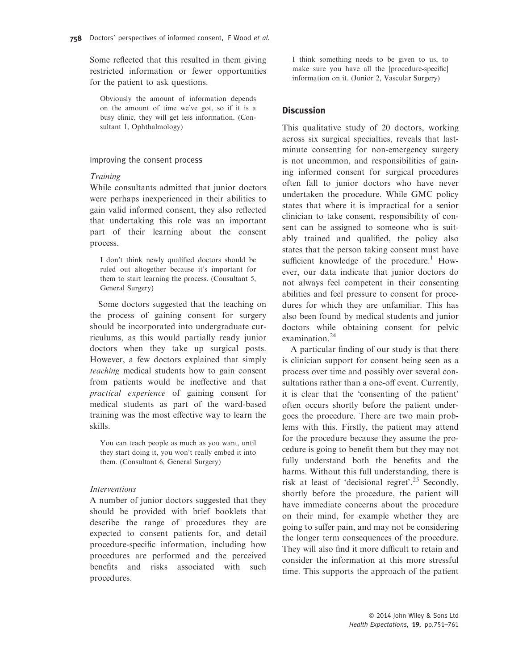Some reflected that this resulted in them giving restricted information or fewer opportunities for the patient to ask questions.

Obviously the amount of information depends on the amount of time we've got, so if it is a busy clinic, they will get less information. (Consultant 1, Ophthalmology)

#### Improving the consent process

#### Training

While consultants admitted that junior doctors were perhaps inexperienced in their abilities to gain valid informed consent, they also reflected that undertaking this role was an important part of their learning about the consent process.

I don't think newly qualified doctors should be ruled out altogether because it's important for them to start learning the process. (Consultant 5, General Surgery)

Some doctors suggested that the teaching on the process of gaining consent for surgery should be incorporated into undergraduate curriculums, as this would partially ready junior doctors when they take up surgical posts. However, a few doctors explained that simply teaching medical students how to gain consent from patients would be ineffective and that practical experience of gaining consent for medical students as part of the ward-based training was the most effective way to learn the skills.

You can teach people as much as you want, until they start doing it, you won't really embed it into them. (Consultant 6, General Surgery)

# Interventions

A number of junior doctors suggested that they should be provided with brief booklets that describe the range of procedures they are expected to consent patients for, and detail procedure-specific information, including how procedures are performed and the perceived benefits and risks associated with such procedures.

I think something needs to be given to us, to make sure you have all the [procedure-specific] information on it. (Junior 2, Vascular Surgery)

# Discussion

This qualitative study of 20 doctors, working across six surgical specialties, reveals that lastminute consenting for non-emergency surgery is not uncommon, and responsibilities of gaining informed consent for surgical procedures often fall to junior doctors who have never undertaken the procedure. While GMC policy states that where it is impractical for a senior clinician to take consent, responsibility of consent can be assigned to someone who is suitably trained and qualified, the policy also states that the person taking consent must have sufficient knowledge of the procedure.<sup>1</sup> However, our data indicate that junior doctors do not always feel competent in their consenting abilities and feel pressure to consent for procedures for which they are unfamiliar. This has also been found by medical students and junior doctors while obtaining consent for pelvic examination.<sup>24</sup>

A particular finding of our study is that there is clinician support for consent being seen as a process over time and possibly over several consultations rather than a one-off event. Currently, it is clear that the 'consenting of the patient' often occurs shortly before the patient undergoes the procedure. There are two main problems with this. Firstly, the patient may attend for the procedure because they assume the procedure is going to benefit them but they may not fully understand both the benefits and the harms. Without this full understanding, there is risk at least of 'decisional regret'.<sup>25</sup> Secondly, shortly before the procedure, the patient will have immediate concerns about the procedure on their mind, for example whether they are going to suffer pain, and may not be considering the longer term consequences of the procedure. They will also find it more difficult to retain and consider the information at this more stressful time. This supports the approach of the patient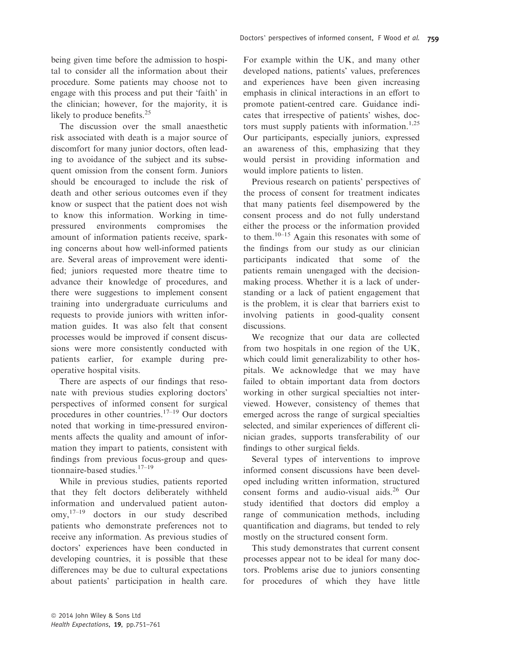being given time before the admission to hospital to consider all the information about their procedure. Some patients may choose not to engage with this process and put their 'faith' in the clinician; however, for the majority, it is likely to produce benefits. $25$ 

The discussion over the small anaesthetic risk associated with death is a major source of discomfort for many junior doctors, often leading to avoidance of the subject and its subsequent omission from the consent form. Juniors should be encouraged to include the risk of death and other serious outcomes even if they know or suspect that the patient does not wish to know this information. Working in timepressured environments compromises the amount of information patients receive, sparking concerns about how well-informed patients are. Several areas of improvement were identified; juniors requested more theatre time to advance their knowledge of procedures, and there were suggestions to implement consent training into undergraduate curriculums and requests to provide juniors with written information guides. It was also felt that consent processes would be improved if consent discussions were more consistently conducted with patients earlier, for example during preoperative hospital visits.

There are aspects of our findings that resonate with previous studies exploring doctors' perspectives of informed consent for surgical procedures in other countries.<sup>17–19</sup> Our doctors noted that working in time-pressured environments affects the quality and amount of information they impart to patients, consistent with findings from previous focus-group and questionnaire-based studies.<sup>17-19</sup>

While in previous studies, patients reported that they felt doctors deliberately withheld information and undervalued patient auton $omy$ ,  $17-19$  doctors in our study described patients who demonstrate preferences not to receive any information. As previous studies of doctors' experiences have been conducted in developing countries, it is possible that these differences may be due to cultural expectations about patients' participation in health care.

For example within the UK, and many other developed nations, patients' values, preferences and experiences have been given increasing emphasis in clinical interactions in an effort to promote patient-centred care. Guidance indicates that irrespective of patients' wishes, doctors must supply patients with information.<sup>1,25</sup> Our participants, especially juniors, expressed an awareness of this, emphasizing that they would persist in providing information and would implore patients to listen.

Previous research on patients' perspectives of the process of consent for treatment indicates that many patients feel disempowered by the consent process and do not fully understand either the process or the information provided to them.10–<sup>15</sup> Again this resonates with some of the findings from our study as our clinician participants indicated that some of the patients remain unengaged with the decisionmaking process. Whether it is a lack of understanding or a lack of patient engagement that is the problem, it is clear that barriers exist to involving patients in good-quality consent discussions.

We recognize that our data are collected from two hospitals in one region of the UK, which could limit generalizability to other hospitals. We acknowledge that we may have failed to obtain important data from doctors working in other surgical specialties not interviewed. However, consistency of themes that emerged across the range of surgical specialties selected, and similar experiences of different clinician grades, supports transferability of our findings to other surgical fields.

Several types of interventions to improve informed consent discussions have been developed including written information, structured consent forms and audio-visual aids.<sup>26</sup> Our study identified that doctors did employ a range of communication methods, including quantification and diagrams, but tended to rely mostly on the structured consent form.

This study demonstrates that current consent processes appear not to be ideal for many doctors. Problems arise due to juniors consenting for procedures of which they have little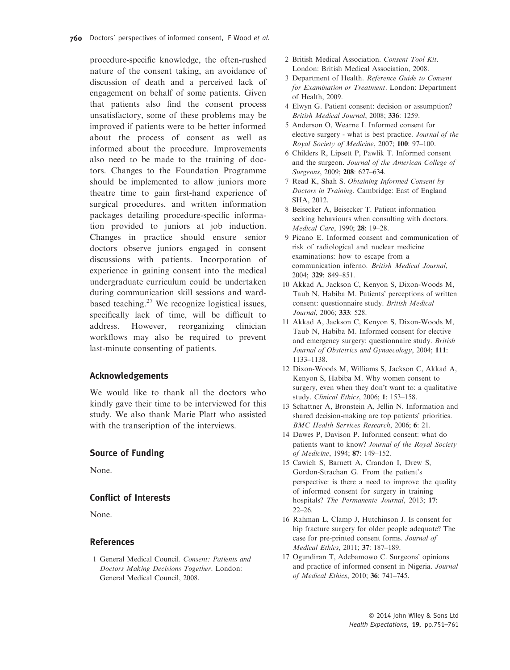procedure-specific knowledge, the often-rushed nature of the consent taking, an avoidance of discussion of death and a perceived lack of engagement on behalf of some patients. Given that patients also find the consent process unsatisfactory, some of these problems may be improved if patients were to be better informed about the process of consent as well as informed about the procedure. Improvements also need to be made to the training of doctors. Changes to the Foundation Programme should be implemented to allow juniors more theatre time to gain first-hand experience of surgical procedures, and written information packages detailing procedure-specific information provided to juniors at job induction. Changes in practice should ensure senior doctors observe juniors engaged in consent discussions with patients. Incorporation of experience in gaining consent into the medical undergraduate curriculum could be undertaken during communication skill sessions and wardbased teaching.27 We recognize logistical issues, specifically lack of time, will be difficult to address. However, reorganizing clinician workflows may also be required to prevent last-minute consenting of patients.

# Acknowledgements

We would like to thank all the doctors who kindly gave their time to be interviewed for this study. We also thank Marie Platt who assisted with the transcription of the interviews.

# Source of Funding

None.

# Conflict of Interests

None.

# References

1 General Medical Council. Consent: Patients and Doctors Making Decisions Together. London: General Medical Council, 2008.

- 2 British Medical Association. Consent Tool Kit. London: British Medical Association, 2008.
- 3 Department of Health. Reference Guide to Consent for Examination or Treatment. London: Department of Health, 2009.
- 4 Elwyn G. Patient consent: decision or assumption? British Medical Journal, 2008; 336: 1259.
- 5 Anderson O, Wearne I. Informed consent for elective surgery - what is best practice. Journal of the Royal Society of Medicine, 2007; 100: 97–100.
- 6 Childers R, Lipsett P, Pawlik T. Informed consent and the surgeon. Journal of the American College of Surgeons, 2009; 208: 627–634.
- 7 Read K, Shah S. Obtaining Informed Consent by Doctors in Training. Cambridge: East of England SHA, 2012.
- 8 Beisecker A, Beisecker T. Patient information seeking behaviours when consulting with doctors. Medical Care, 1990; 28: 19–28.
- 9 Picano E. Informed consent and communication of risk of radiological and nuclear medicine examinations: how to escape from a communication inferno. British Medical Journal, 2004; 329: 849–851.
- 10 Akkad A, Jackson C, Kenyon S, Dixon-Woods M, Taub N, Habiba M. Patients' perceptions of written consent: questionnaire study. British Medical Journal, 2006; 333: 528.
- 11 Akkad A, Jackson C, Kenyon S, Dixon-Woods M, Taub N, Habiba M. Informed consent for elective and emergency surgery: questionnaire study. British Journal of Obstetrics and Gynaecology, 2004; 111: 1133–1138.
- 12 Dixon-Woods M, Williams S, Jackson C, Akkad A, Kenyon S, Habiba M. Why women consent to surgery, even when they don't want to: a qualitative study. Clinical Ethics, 2006; 1: 153–158.
- 13 Schattner A, Bronstein A, Jellin N. Information and shared decision-making are top patients' priorities. BMC Health Services Research, 2006; 6: 21.
- 14 Dawes P, Davison P. Informed consent: what do patients want to know? Journal of the Royal Society of Medicine, 1994; 87: 149–152.
- 15 Cawich S, Barnett A, Crandon I, Drew S, Gordon-Strachan G. From the patient's perspective: is there a need to improve the quality of informed consent for surgery in training hospitals? The Permanente Journal, 2013; 17: 22–26.
- 16 Rahman L, Clamp J, Hutchinson J. Is consent for hip fracture surgery for older people adequate? The case for pre-printed consent forms. Journal of Medical Ethics, 2011; 37: 187–189.
- 17 Ogundiran T, Adebamowo C. Surgeons' opinions and practice of informed consent in Nigeria. Journal of Medical Ethics, 2010; 36: 741–745.